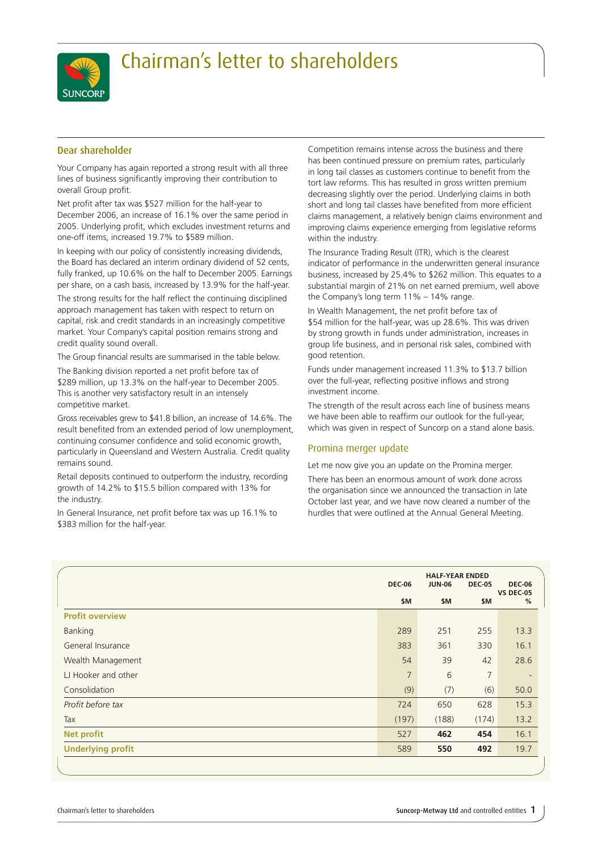

## Chairman's letter to shareholders

## Dear shareholder

Your Company has again reported a strong result with all three lines of business significantly improving their contribution to overall Group profit.

Net profit after tax was \$527 million for the half-year to December 2006, an increase of 16.1% over the same period in 2005. Underlying profit, which excludes investment returns and one-off items, increased 19.7% to \$589 million.

In keeping with our policy of consistently increasing dividends, the Board has declared an interim ordinary dividend of 52 cents, fully franked, up 10.6% on the half to December 2005. Earnings per share, on a cash basis, increased by 13.9% for the half-year.

The strong results for the half reflect the continuing disciplined approach management has taken with respect to return on capital, risk and credit standards in an increasingly competitive market. Your Company's capital position remains strong and credit quality sound overall.

The Group financial results are summarised in the table below.

The Banking division reported a net profit before tax of \$289 million, up 13.3% on the half-year to December 2005. This is another very satisfactory result in an intensely competitive market.

Gross receivables grew to \$41.8 billion, an increase of 14.6%. The result benefited from an extended period of low unemployment, continuing consumer confidence and solid economic growth, particularly in Queensland and Western Australia. Credit quality remains sound.

Retail deposits continued to outperform the industry, recording growth of 14.2% to \$15.5 billion compared with 13% for the industry.

In General Insurance, net profit before tax was up 16.1% to \$383 million for the half-year.

Competition remains intense across the business and there has been continued pressure on premium rates, particularly in long tail classes as customers continue to benefit from the tort law reforms. This has resulted in gross written premium decreasing slightly over the period. Underlying claims in both short and long tail classes have benefited from more efficient claims management, a relatively benign claims environment and improving claims experience emerging from legislative reforms within the industry.

The Insurance Trading Result (ITR), which is the clearest indicator of performance in the underwritten general insurance business, increased by 25.4% to \$262 million. This equates to a substantial margin of 21% on net earned premium, well above the Company's long term 11% – 14% range.

In Wealth Management, the net profit before tax of \$54 million for the half-year, was up 28.6%. This was driven by strong growth in funds under administration, increases in group life business, and in personal risk sales, combined with good retention.

Funds under management increased 11.3% to \$13.7 billion over the full-year, reflecting positive inflows and strong investment income.

The strength of the result across each line of business means we have been able to reaffirm our outlook for the full-year, which was given in respect of Suncorp on a stand alone basis.

## Promina merger update

Let me now give you an update on the Promina merger.

There has been an enormous amount of work done across the organisation since we announced the transaction in late October last year, and we have now cleared a number of the hurdles that were outlined at the Annual General Meeting.

|                          | <b>DEC-06</b>  | <b>HALF-YEAR ENDED</b><br><b>JUN-06</b><br><b>DEC-05</b> |                |                          |
|--------------------------|----------------|----------------------------------------------------------|----------------|--------------------------|
|                          | \$M            | \$M                                                      | \$M            | <b>VS DEC-05</b><br>%    |
| <b>Profit overview</b>   |                |                                                          |                |                          |
| Banking                  | 289            | 251                                                      | 255            | 13.3                     |
| General Insurance        | 383            | 361                                                      | 330            | 16.1                     |
| Wealth Management        | 54             | 39                                                       | 42             | 28.6                     |
| LJ Hooker and other      | $\overline{7}$ | 6                                                        | $\overline{7}$ | $\overline{\phantom{a}}$ |
| Consolidation            | (9)            | (7)                                                      | (6)            | 50.0                     |
| Profit before tax        | 724            | 650                                                      | 628            | 15.3                     |
| Tax                      | (197)          | (188)                                                    | (174)          | 13.2                     |
| <b>Net profit</b>        | 527            | 462                                                      | 454            | 16.1                     |
| <b>Underlying profit</b> | 589            | 550                                                      | 492            | 19.7                     |